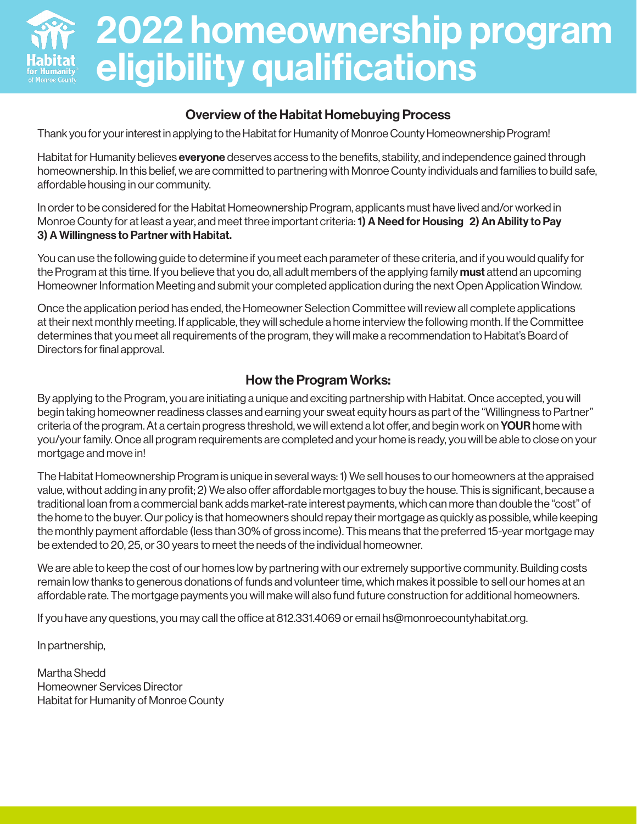

### Overview of the Habitat Homebuying Process

Thank you for your interest in applying to the Habitat for Humanity of Monroe County Homeownership Program!

Habitat for Humanity believes **everyone** deserves access to the benefits, stability, and independence gained through homeownership. In this belief, we are committed to partnering with Monroe County individuals and families to build safe, affordable housing in our community.

In order to be considered for the Habitat Homeownership Program, applicants must have lived and/or worked in Monroe County for at least a year, and meet three important criteria: 1) A Need for Housing 2) An Ability to Pay 3) A Willingness to Partner with Habitat.

You can use the following guide to determine if you meet each parameter of these criteria, and if you would qualify for the Program at this time. If you believe that you do, all adult members of the applying family **must** attend an upcoming Homeowner Information Meeting and submit your completed application during the next Open Application Window.

Once the application period has ended, the Homeowner Selection Committee will review all complete applications at their next monthly meeting. If applicable, they will schedule a home interview the following month. If the Committee determines that you meet all requirements of the program, they will make a recommendation to Habitat's Board of Directors for final approval.

### How the Program Works:

By applying to the Program, you are initiating a unique and exciting partnership with Habitat. Once accepted, you will begin taking homeowner readiness classes and earning your sweat equity hours as part of the "Willingness to Partner" criteria of the program. At a certain progress threshold, we will extend a lot offer, and begin work on **YOUR** home with you/your family. Once all program requirements are completed and your home is ready, you will be able to close on your mortgage and move in!

The Habitat Homeownership Program is unique in several ways: 1) We sell houses to our homeowners at the appraised value, without adding in any profit; 2) We also offer affordable mortgages to buy the house. This is significant, because a traditional loan from a commercial bank adds market-rate interest payments, which can more than double the "cost" of the home to the buyer. Our policy is that homeowners should repay their mortgage as quickly as possible, while keeping the monthly payment affordable (less than 30% of gross income). This means that the preferred 15-year mortgage may be extended to 20, 25, or 30 years to meet the needs of the individual homeowner.

We are able to keep the cost of our homes low by partnering with our extremely supportive community. Building costs remain low thanks to generous donations of funds and volunteer time, which makes it possible to sell our homes at an affordable rate. The mortgage payments you will make will also fund future construction for additional homeowners.

If you have any questions, you may call the office at 812.331.4069 or email hs@monroecountyhabitat.org.

In partnership,

Martha Shedd Homeowner Services Director Habitat for Humanity of Monroe County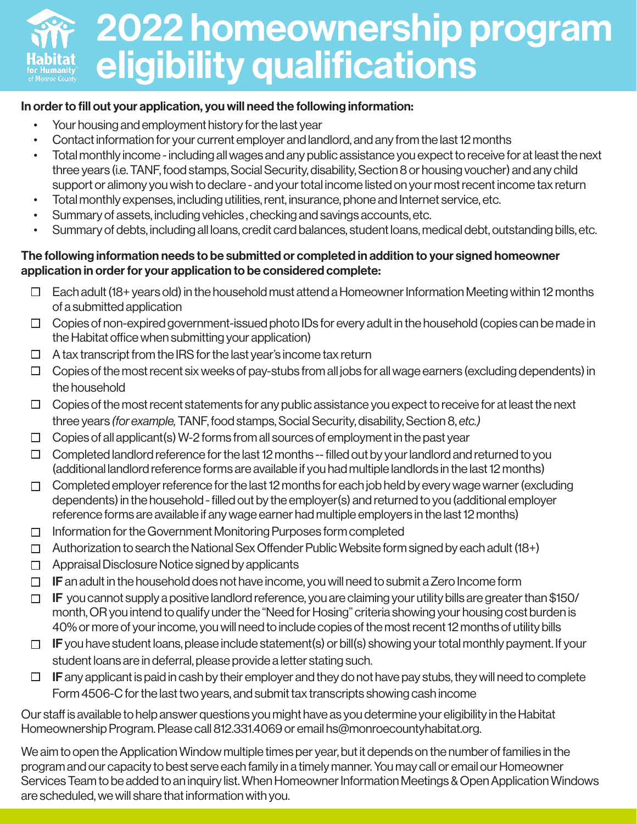# 2022 homeownership program eligibility qualifications

### In order to fill out your application, you will need the following information:

- Your housing and employment history for the last year
- Contact information for your current employer and landlord, and any from the last 12 months
- Total monthly income including all wages and any public assistance you expect to receive for at least the next three years (i.e. TANF, food stamps, Social Security, disability, Section 8 or housing voucher) and any child support or alimony you wish to declare - and your total income listed on your most recent income tax return
- Total monthly expenses, including utilities, rent, insurance, phone and Internet service, etc.
- Summary of assets, including vehicles , checking and savings accounts, etc.
- Summary of debts, including all loans, credit card balances, student loans, medical debt, outstanding bills, etc.

### The following information needs to be submitted or completed in addition to your signed homeowner application in order for your application to be considered complete:

- $\Box$  Each adult (18+ years old) in the household must attend a Homeowner Information Meeting within 12 months of a submitted application
- $\Box$  Copies of non-expired government-issued photo IDs for every adult in the household (copies can be made in the Habitat office when submitting your application)
- $\Box$  A tax transcript from the IRS for the last year's income tax return
- $\Box$  Copies of the most recent six weeks of pay-stubs from all jobs for all wage earners (excluding dependents) in the household
- $\Box$  Copies of the most recent statements for any public assistance you expect to receive for at least the next three years *(for example,* TANF, food stamps, Social Security, disability, Section 8, *etc.)*
- Copies of all applicant(s) W-2 forms from all sources of employment in the past year  $\Box$
- $\Box$  Completed landlord reference for the last 12 months -- filled out by your landlord and returned to you (additional landlord reference forms are available if you had multiple landlords in the last 12 months)
- $\Box$  Completed employer reference for the last 12 months for each job held by every wage warner (excluding dependents) in the household - filled out by the employer(s) and returned to you (additional employer reference forms are available if any wage earner had multiple employers in the last 12 months)
- $\Box$  Information for the Government Monitoring Purposes form completed
- $\Box$  Authorization to search the National Sex Offender Public Website form signed by each adult (18+)
- $\Box$  Appraisal Disclosure Notice signed by applicants
- $\Box$  IF an adult in the household does not have income, you will need to submit a Zero Income form
- $\Box$  IF you cannot supply a positive landlord reference, you are claiming your utility bills are greater than \$150/ month, OR you intend to qualify under the "Need for Hosing" criteria showing your housing cost burden is 40% or more of your income, you will need to include copies of the most recent 12 months of utility bills
- $\Box$  IF you have student loans, please include statement(s) or bill(s) showing your total monthly payment. If your student loans are in deferral, please provide a letter stating such.
- $\Box$  IF any applicant is paid in cash by their employer and they do not have pay stubs, they will need to complete Form 4506-C for the last two years, and submit tax transcripts showing cash income

Our staff is available to help answer questions you might have as you determine your eligibility in the Habitat Homeownership Program. Please call 812.331.4069 or email hs@monroecountyhabitat.org.

We aim to open the Application Window multiple times per year, but it depends on the number of families in the program and our capacity to best serve each family in a timely manner. You may call or email our Homeowner Services Team to be added to an inquiry list. When Homeowner Information Meetings & Open Application Windows are scheduled, we will share that information with you.